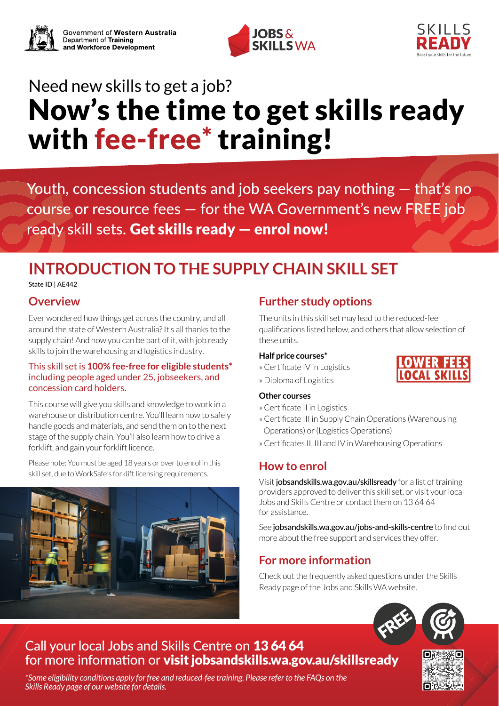



# Need new skills to get a job? Now's the time to get skills ready with fee-free\* training!

Youth, concession students and job seekers pay nothing — that's no course or resource fees — for the WA Government's new FREE job ready skill sets. Get skills ready — enrol now!

## **INTRODUCTION TO THE SUPPLY CHAIN SKILL SET**

State ID | AE442

### **Overview**

Ever wondered how things get across the country, and all around the state of Western Australia?It's all thanks to the supply chain! And now you can be part of it, with job ready skills to join the warehousing and logistics industry.

#### This skill set is **100% fee-free for eligible students\*** including people aged under 25, jobseekers, and concession card holders.

This course will give you skills and knowledge to work in a warehouse or distribution centre. You'll learn how to safely handle goods and materials, and send them on to the next stage of the supply chain. You'll also learn how to drive a forklift, and gain your forklift licence.

Please note: You must be aged 18 years or over to enrol in this skill set, due to WorkSafe's forklift licensing requirements.



## **Further study options**

The units in this skill set may lead to the reduced-fee qualifications listed below, and others that allow selection of these units.

#### **Half price courses\***

- » Certificate IV in Logistics
- » Diploma of Logistics

#### **Other courses**

- » Certificate II in Logistics
- » Certificate III in Supply Chain Operations (Warehousing Operations) or (Logistics Operations)
- » Certificates II, III and IV in Warehousing Operations

## **How to enrol**

Visit [jobsandskills.wa.gov.au/skillsready](http://jobsandskills.wa.gov.au/skillsready) for a list of training providers approved to deliver this skill set, or visit your local Jobs and Skills Centre or contact them on 13 64 64 for assistance.

See [jobsandskills.wa.gov.au/jobs-and-skills-centre](https://www.jobsandskills.wa.gov.au/jobs-and-skills-centre) to find out more about the free support and services they offer.

## **For more information**

Check out the frequently asked questions under the Skills Ready page of the Jobs and Skills WA website.



## Call your local Jobs and Skills Centre on 13 64 64 for more information or visit [jobsandskills.wa.gov.au/skillsready](https://www.jobsandskills.wa.gov.au/skillsready)

*\*Some eligibility conditions apply for free and reduced-fee training. Please refer to the FAQs on the Skills Ready page of our website for details.*